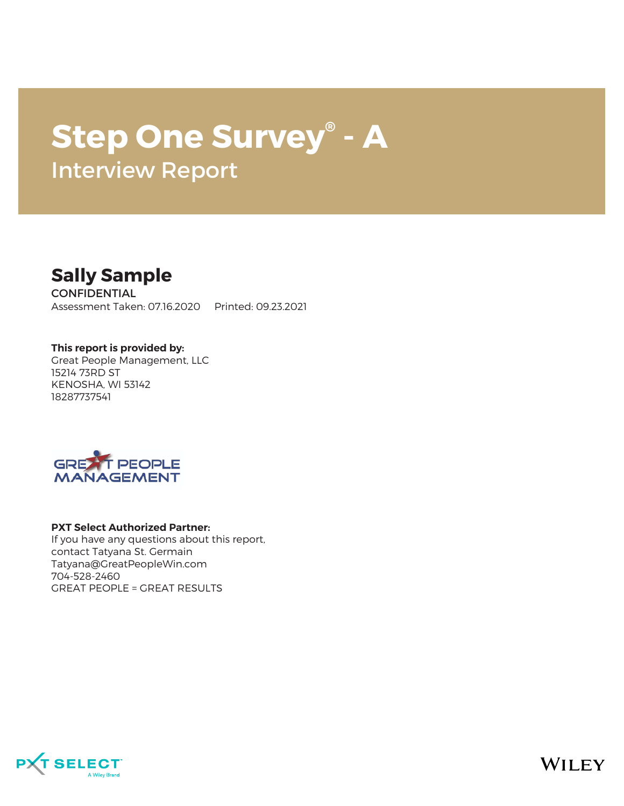# **Step One Survey® - A** Interview Report



**CONFIDENTIAL** Assessment Taken: 07.16.2020 Printed: 09.23.2021

**This report is provided by:** Great People Management, LLC 15214 73RD ST KENOSHA, WI 53142 18287737541



#### **PXT Select Authorized Partner:**

If you have any questions about this report, contact Tatyana St. Germain Tatyana@GreatPeopleWin.com 704-528-2460 GREAT PEOPLE = GREAT RESULTS



**WILEY**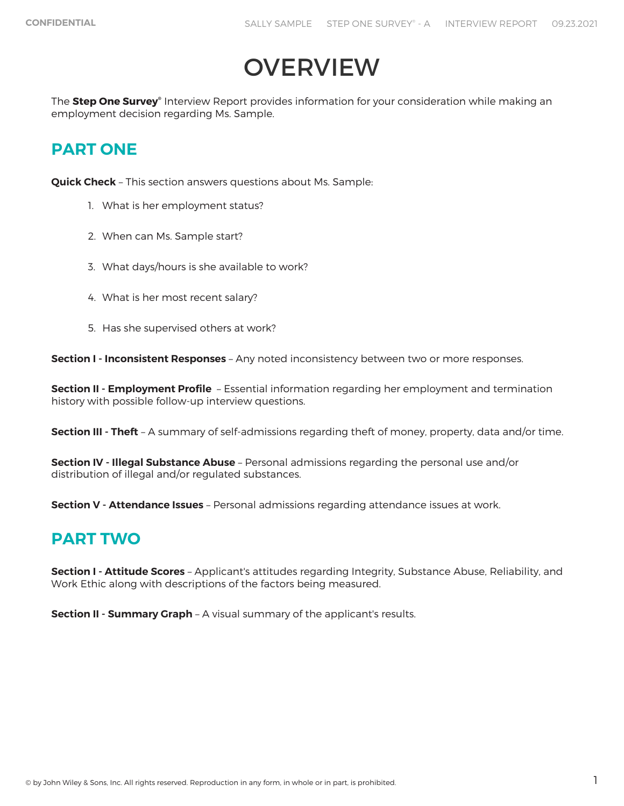# **OVERVIEW**

The **Step One Survey®** Interview Report provides information for your consideration while making an employment decision regarding Ms. Sample.

# **PART ONE**

**Quick Check** – This section answers questions about Ms. Sample:

- 1. What is her employment status?
- 2. When can Ms. Sample start?
- 3. What days/hours is she available to work?
- 4. What is her most recent salary?
- 5. Has she supervised others at work?

**Section I - Inconsistent Responses** – Any noted inconsistency between two or more responses.

**Section II - Employment Profile** – Essential information regarding her employment and termination history with possible follow-up interview questions.

**Section III - Theft** – A summary of self-admissions regarding theft of money, property, data and/or time.

**Section IV - Illegal Substance Abuse** – Personal admissions regarding the personal use and/or distribution of illegal and/or regulated substances.

**Section V - Attendance Issues** – Personal admissions regarding attendance issues at work.

## **PART TWO**

**Section I - Attitude Scores** – Applicant's attitudes regarding Integrity, Substance Abuse, Reliability, and Work Ethic along with descriptions of the factors being measured.

**Section II - Summary Graph** – A visual summary of the applicant's results.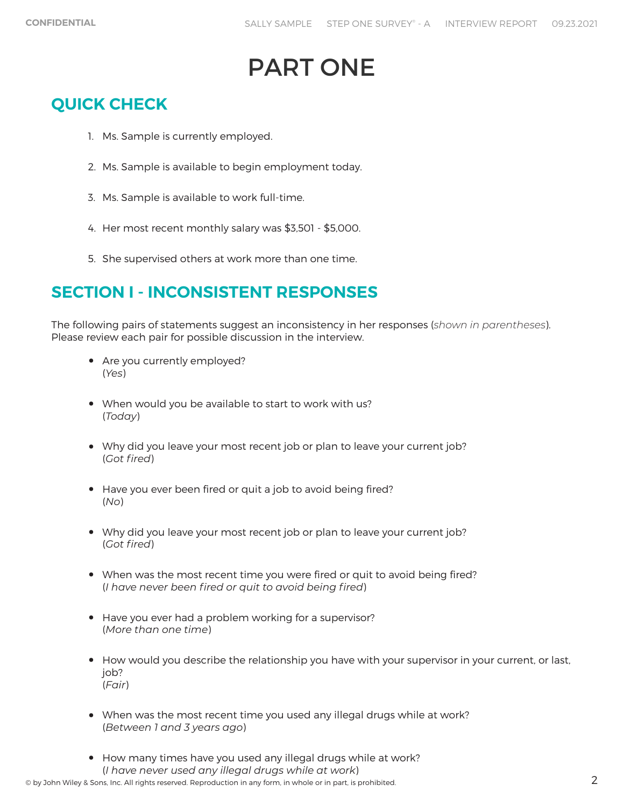# PART ONE

# **QUICK CHECK**

- 1. Ms. Sample is currently employed.
- 2. Ms. Sample is available to begin employment today.
- 3. Ms. Sample is available to work full-time.
- 4. Her most recent monthly salary was \$3,501 \$5,000.
- 5. She supervised others at work more than one time.

# **SECTION I - INCONSISTENT RESPONSES**

The following pairs of statements suggest an inconsistency in her responses (*shown in parentheses*). Please review each pair for possible discussion in the interview.

- Are you currently employed? (*Yes*)
- When would you be available to start to work with us? (*Today*)
- Why did you leave your most recent job or plan to leave your current job? (*Got fired*)
- Have you ever been fired or quit a job to avoid being fired? (*No*)
- Why did you leave your most recent job or plan to leave your current job? (*Got fired*)
- When was the most recent time you were fired or quit to avoid being fired? (*I have never been fired or quit to avoid being fired*)
- Have you ever had a problem working for a supervisor? (*More than one time*)
- How would you describe the relationship you have with your supervisor in your current, or last, job? (*Fair*)
- When was the most recent time you used any illegal drugs while at work? (*Between 1 and 3 years ago*)
- How many times have you used any illegal drugs while at work? (*I have never used any illegal drugs while at work*)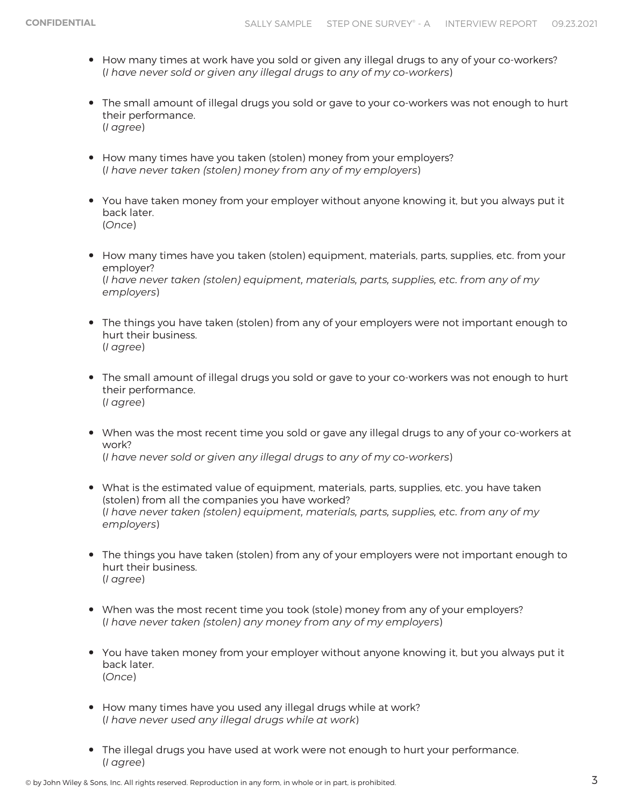- How many times at work have you sold or given any illegal drugs to any of your co-workers? (*I have never sold or given any illegal drugs to any of my co-workers*)
- The small amount of illegal drugs you sold or gave to your co-workers was not enough to hurt their performance. (*I agree*)
- How many times have you taken (stolen) money from your employers? (*I have never taken (stolen) money from any of my employers*)
- You have taken money from your employer without anyone knowing it, but you always put it back later. (*Once*)
- How many times have you taken (stolen) equipment, materials, parts, supplies, etc. from your employer? (*I have never taken (stolen) equipment, materials, parts, supplies, etc. from any of my employers*)
- The things you have taken (stolen) from any of your employers were not important enough to hurt their business. (*I agree*)
- The small amount of illegal drugs you sold or gave to your co-workers was not enough to hurt their performance. (*I agree*)
- When was the most recent time you sold or gave any illegal drugs to any of your co-workers at work? (*I have never sold or given any illegal drugs to any of my co-workers*)
- What is the estimated value of equipment, materials, parts, supplies, etc. you have taken (stolen) from all the companies you have worked? (*I have never taken (stolen) equipment, materials, parts, supplies, etc. from any of my employers*)
- The things you have taken (stolen) from any of your employers were not important enough to hurt their business. (*I agree*)
- When was the most recent time you took (stole) money from any of your employers? (*I have never taken (stolen) any money from any of my employers*)
- You have taken money from your employer without anyone knowing it, but you always put it back later. (*Once*)
- How many times have you used any illegal drugs while at work? (*I have never used any illegal drugs while at work*)
- The illegal drugs you have used at work were not enough to hurt your performance. (*I agree*)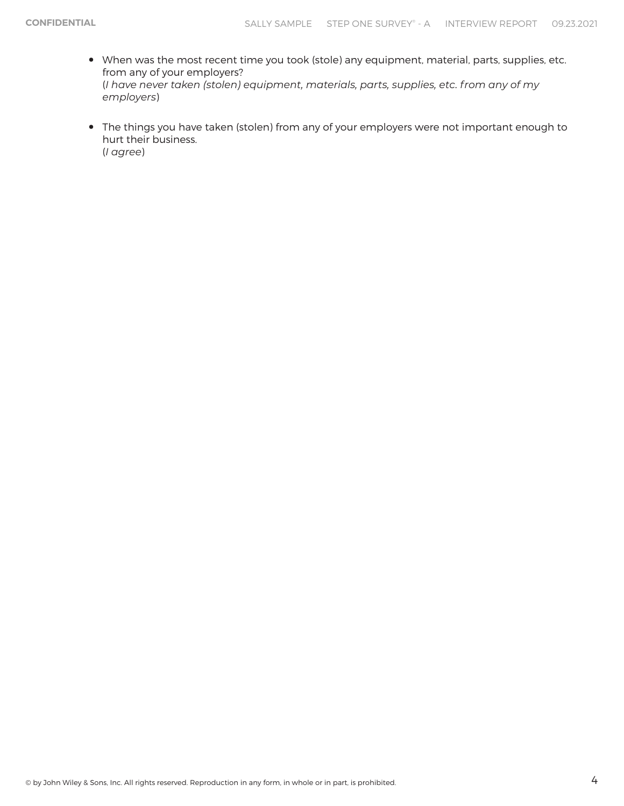- When was the most recent time you took (stole) any equipment, material, parts, supplies, etc. from any of your employers? (*I have never taken (stolen) equipment, materials, parts, supplies, etc. from any of my employers*)
- The things you have taken (stolen) from any of your employers were not important enough to hurt their business. (*I agree*)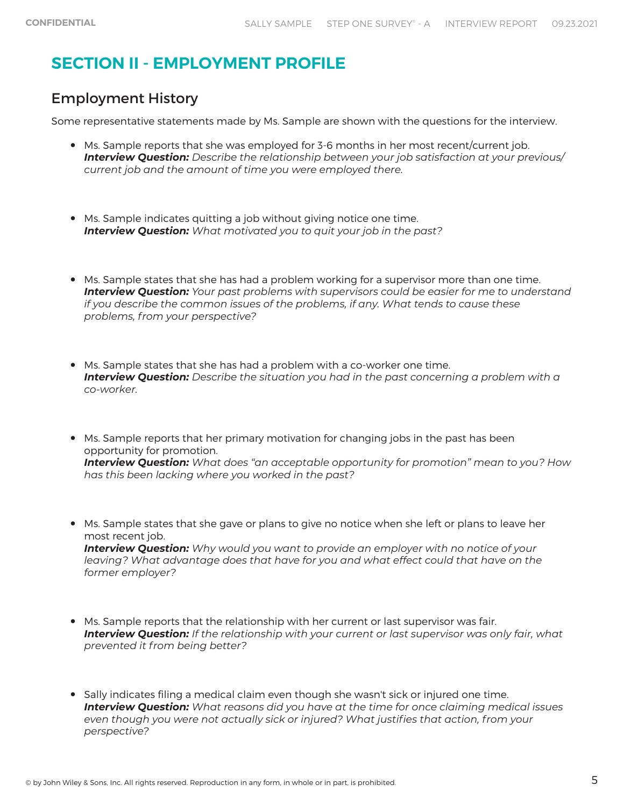# **SECTION II - EMPLOYMENT PROFILE**

### Employment History

Some representative statements made by Ms. Sample are shown with the questions for the interview.

- Ms. Sample reports that she was employed for 3-6 months in her most recent/current job. *Interview Question: Describe the relationship between your job satisfaction at your previous/ current job and the amount of time you were employed there.*
- Ms. Sample indicates quitting a job without giving notice one time. *Interview Question: What motivated you to quit your job in the past?*
- Ms. Sample states that she has had a problem working for a supervisor more than one time. *Interview Question: Your past problems with supervisors could be easier for me to understand if you describe the common issues of the problems, if any. What tends to cause these problems, from your perspective?*
- Ms. Sample states that she has had a problem with a co-worker one time. *Interview Question: Describe the situation you had in the past concerning a problem with a co-worker.*
- Ms. Sample reports that her primary motivation for changing jobs in the past has been opportunity for promotion. *Interview Question: What does "an acceptable opportunity for promotion" mean to you? How has this been lacking where you worked in the past?*
- Ms. Sample states that she gave or plans to give no notice when she left or plans to leave her most recent job. *Interview Question: Why would you want to provide an employer with no notice of your leaving? What advantage does that have for you and what effect could that have on the former employer?*
- Ms. Sample reports that the relationship with her current or last supervisor was fair. *Interview Question: If the relationship with your current or last supervisor was only fair, what prevented it from being better?*
- Sally indicates filing a medical claim even though she wasn't sick or injured one time.<br>
Interview Quantion: What regares did you have at the time for ance claim ing mag *Interview Question: What reasons did you have at the time for once claiming medical issues even though you were not actually sick or injured? What justifies that action, from your perspective?*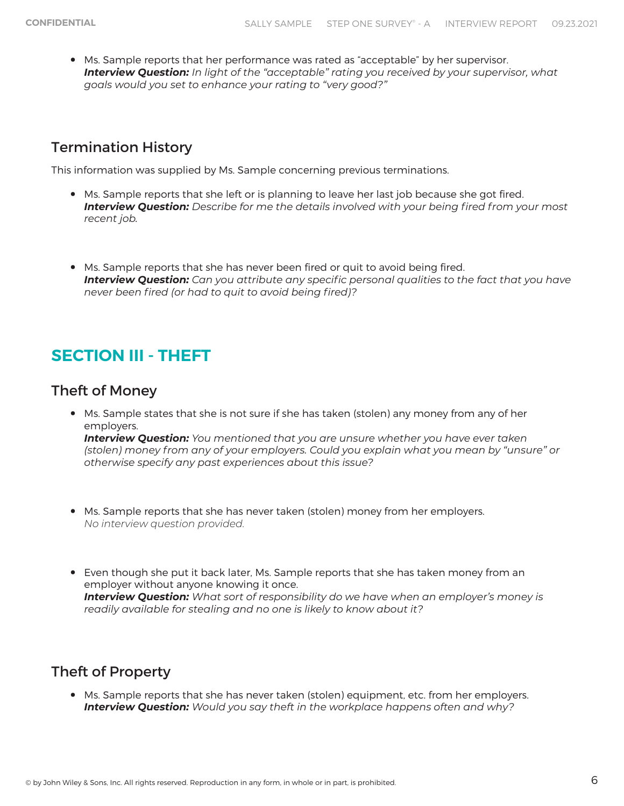• Ms. Sample reports that her performance was rated as "acceptable" by her supervisor. *Interview Question: In light of the "acceptable" rating you received by your supervisor, what goals would you set to enhance your rating to "very good?"*

### Termination History

This information was supplied by Ms. Sample concerning previous terminations.

- Ms. Sample reports that she left or is planning to leave her last job because she got fired. *Interview Question: Describe for me the details involved with your being fired from your most recent job.*
- Ms. Sample reports that she has never been fired or quit to avoid being fired. *Interview Question: Can you attribute any specific personal qualities to the fact that you have never been fired (or had to quit to avoid being fired)?*

## **SECTION III - THEFT**

### Theft of Money

• Ms. Sample states that she is not sure if she has taken (stolen) any money from any of her employers.

*Interview Question: You mentioned that you are unsure whether you have ever taken (stolen) money from any of your employers. Could you explain what you mean by "unsure" or otherwise specify any past experiences about this issue?*

- Ms. Sample reports that she has never taken (stolen) money from her employers. *No interview question provided.*
- Even though she put it back later, Ms. Sample reports that she has taken money from an employer without anyone knowing it once. *Interview Question: What sort of responsibility do we have when an employer's money is readily available for stealing and no one is likely to know about it?*

### Theft of Property

• Ms. Sample reports that she has never taken (stolen) equipment, etc. from her employers. *Interview Question: Would you say theft in the workplace happens often and why?*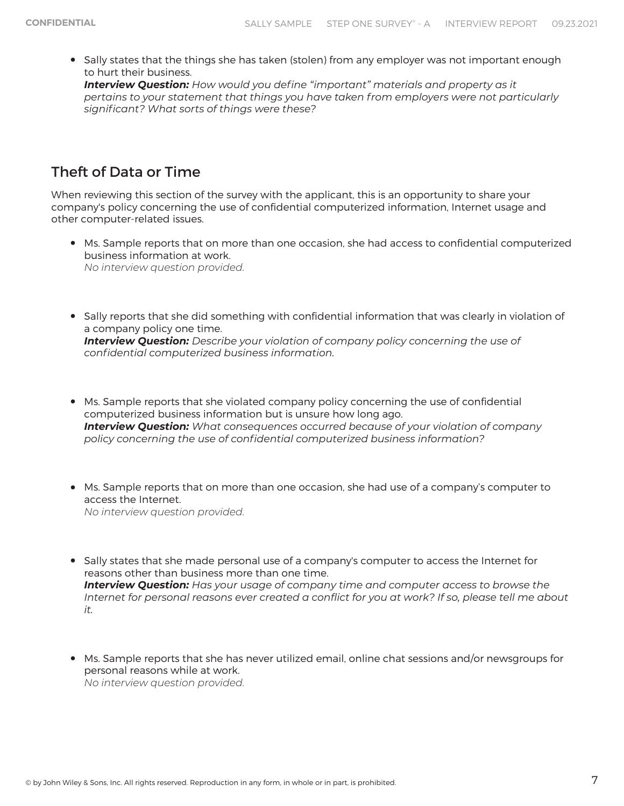• Sally states that the things she has taken (stolen) from any employer was not important enough<br>to burt their business to hurt their business. *Interview Question: How would you define "important" materials and property as it pertains to your statement that things you have taken from employers were not particularly significant? What sorts of things were these?*

### Theft of Data or Time

When reviewing this section of the survey with the applicant, this is an opportunity to share your company's policy concerning the use of confidential computerized information, Internet usage and other computer-related issues.

- Ms. Sample reports that on more than one occasion, she had access to confidential computerized business information at work. *No interview question provided.*
- Sally reports that she did something with confidential information that was clearly in violation of a company policy one time. *Interview Question: Describe your violation of company policy concerning the use of confidential computerized business information.*
- Ms. Sample reports that she violated company policy concerning the use of confidential computerized business information but is unsure how long ago. *Interview Question: What consequences occurred because of your violation of company policy concerning the use of confidential computerized business information?*
- Ms. Sample reports that on more than one occasion, she had use of a company's computer to access the Internet. *No interview question provided.*
- Sally states that she made personal use of a company's computer to access the Internet for reasons other than business more than one time. *Interview Question: Has your usage of company time and computer access to browse the Internet for personal reasons ever created a conflict for you at work? If so, please tell me about it.*
- Ms. Sample reports that she has never utilized email, online chat sessions and/or newsgroups for personal reasons while at work. *No interview question provided.*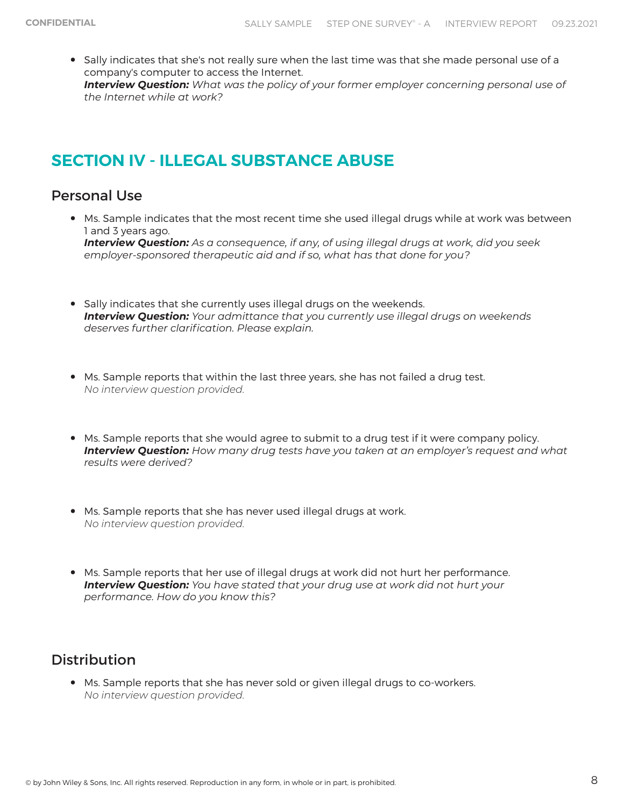• Sally indicates that she's not really sure when the last time was that she made personal use of a company's computer to access the Internet. *Interview Question: What was the policy of your former employer concerning personal use of the Internet while at work?*

# **SECTION IV - ILLEGAL SUBSTANCE ABUSE**

### Personal Use

- Ms. Sample indicates that the most recent time she used illegal drugs while at work was between 1 and 3 years ago. *Interview Question: As a consequence, if any, of using illegal drugs at work, did you seek employer-sponsored therapeutic aid and if so, what has that done for you?*
- Sally indicates that she currently uses illegal drugs on the weekends. *Interview Question: Your admittance that you currently use illegal drugs on weekends deserves further clarification. Please explain.*
- Ms. Sample reports that within the last three years, she has not failed a drug test. *No interview question provided.*
- Ms. Sample reports that she would agree to submit to a drug test if it were company policy. *Interview Question: How many drug tests have you taken at an employer's request and what results were derived?*
- Ms. Sample reports that she has never used illegal drugs at work. *No interview question provided.*
- Ms. Sample reports that her use of illegal drugs at work did not hurt her performance. *Interview Question: You have stated that your drug use at work did not hurt your performance. How do you know this?*

### Distribution

• Ms. Sample reports that she has never sold or given illegal drugs to co-workers. *No interview question provided.*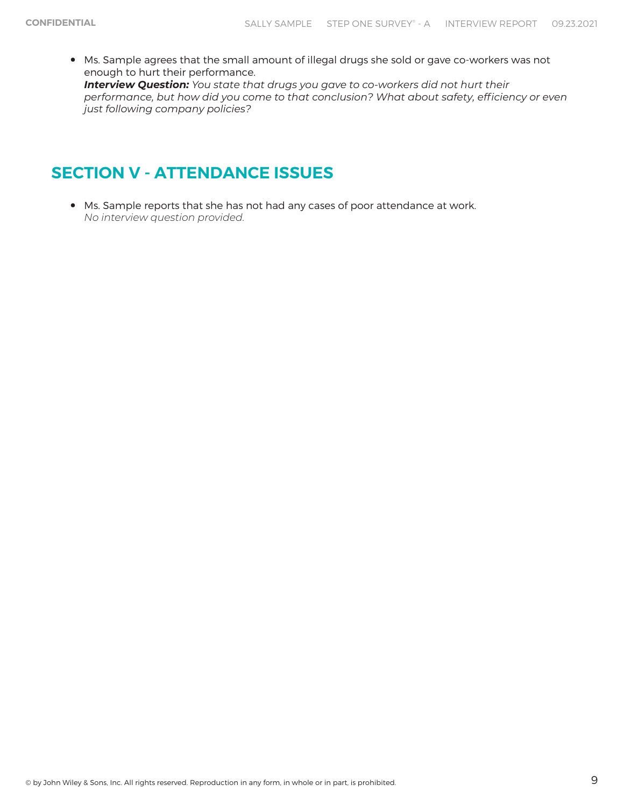• Ms. Sample agrees that the small amount of illegal drugs she sold or gave co-workers was not enough to hurt their performance. *Interview Question: You state that drugs you gave to co-workers did not hurt their performance, but how did you come to that conclusion? What about safety, efficiency or even just following company policies?*

# **SECTION V - ATTENDANCE ISSUES**

• Ms. Sample reports that she has not had any cases of poor attendance at work. *No interview question provided.*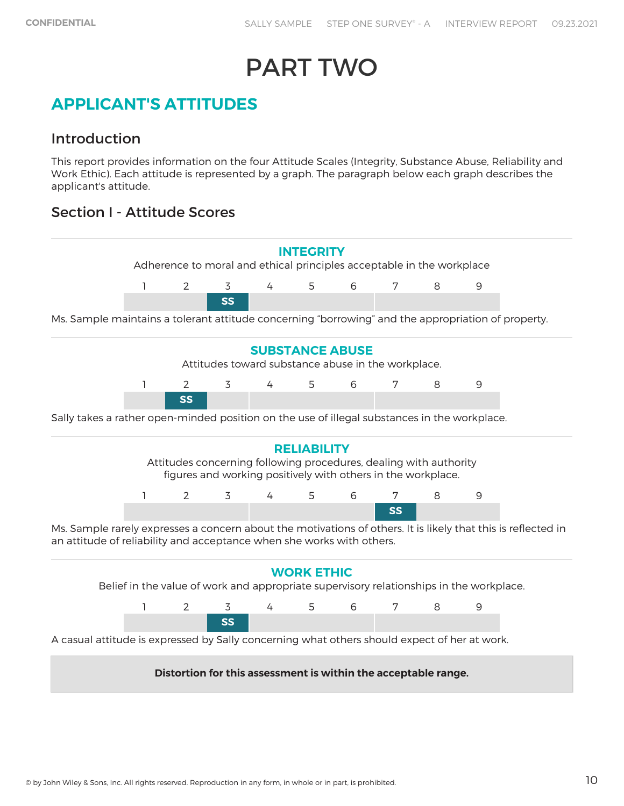# PART TWO

## **APPLICANT'S ATTITUDES**

### Introduction

This report provides information on the four Attitude Scales (Integrity, Substance Abuse, Reliability and Work Ethic). Each attitude is represented by a graph. The paragraph below each graph describes the applicant's attitude.

### Section I - Attitude Scores

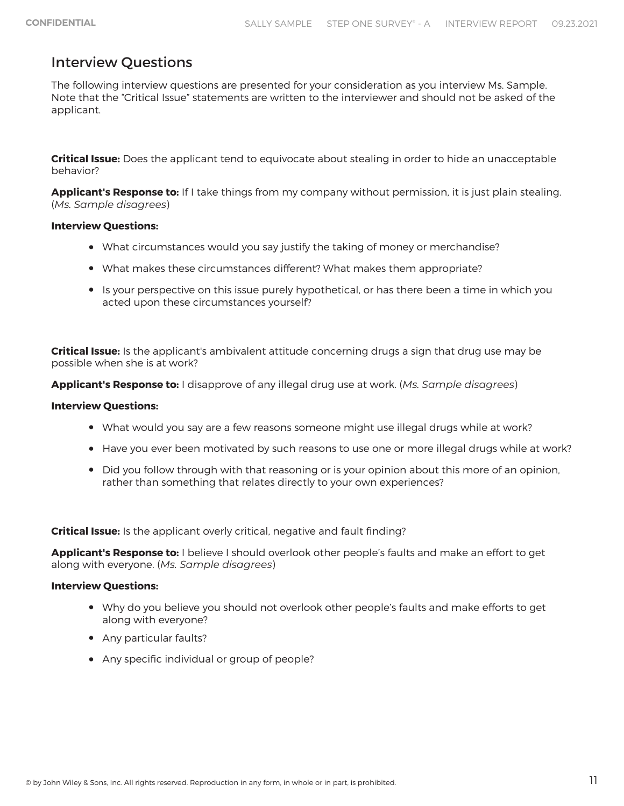### Interview Questions

The following interview questions are presented for your consideration as you interview Ms. Sample. Note that the "Critical Issue" statements are written to the interviewer and should not be asked of the applicant.

**Critical Issue:** Does the applicant tend to equivocate about stealing in order to hide an unacceptable behavior?

**Applicant's Response to:** If I take things from my company without permission, it is just plain stealing. (*Ms. Sample disagrees*)

### **Interview Questions:**

- What circumstances would you say justify the taking of money or merchandise?
- What makes these circumstances different? What makes them appropriate?
- Is your perspective on this issue purely hypothetical, or has there been a time in which you acted upon these circumstances yourself?

**Critical Issue:** Is the applicant's ambivalent attitude concerning drugs a sign that drug use may be possible when she is at work?

**Applicant's Response to:** I disapprove of any illegal drug use at work. (*Ms. Sample disagrees*)

#### **Interview Questions:**

- What would you say are a few reasons someone might use illegal drugs while at work?
- Have you ever been motivated by such reasons to use one or more illegal drugs while at work?
- Did you follow through with that reasoning or is your opinion about this more of an opinion, rather than something that relates directly to your own experiences?

**Critical Issue:** Is the applicant overly critical, negative and fault finding?

**Applicant's Response to:** I believe I should overlook other people's faults and make an effort to get along with everyone. (*Ms. Sample disagrees*)

### **Interview Questions:**

- Why do you believe you should not overlook other people's faults and make efforts to get along with everyone?
- Any particular faults?
- Any specific individual or group of people?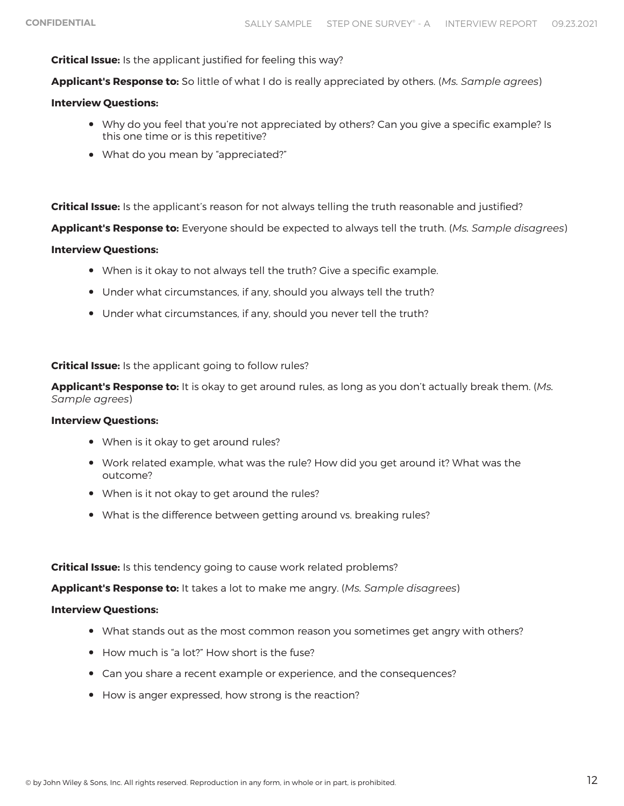#### **Critical Issue:** Is the applicant justified for feeling this way?

**Applicant's Response to:** So little of what I do is really appreciated by others. (*Ms. Sample agrees*)

#### **Interview Questions:**

- Why do you feel that you're not appreciated by others? Can you give a specific example? Is this one time or is this repetitive?
- What do you mean by "appreciated?"

**Critical Issue:** Is the applicant's reason for not always telling the truth reasonable and justified?

**Applicant's Response to:** Everyone should be expected to always tell the truth. (*Ms. Sample disagrees*)

#### **Interview Questions:**

- When is it okay to not always tell the truth? Give a specific example.
- Under what circumstances, if any, should you always tell the truth?
- Under what circumstances, if any, should you never tell the truth?

#### **Critical Issue:** Is the applicant going to follow rules?

**Applicant's Response to:** It is okay to get around rules, as long as you don't actually break them. (*Ms. Sample agrees*)

#### **Interview Questions:**

- When is it okay to get around rules?
- Work related example, what was the rule? How did you get around it? What was the outcome?
- When is it not okay to get around the rules?
- What is the difference between getting around vs. breaking rules?

#### **Critical Issue:** Is this tendency going to cause work related problems?

**Applicant's Response to:** It takes a lot to make me angry. (*Ms. Sample disagrees*)

#### **Interview Questions:**

- What stands out as the most common reason you sometimes get angry with others?
- How much is "a lot?" How short is the fuse?
- Can you share a recent example or experience, and the consequences?
- How is anger expressed, how strong is the reaction?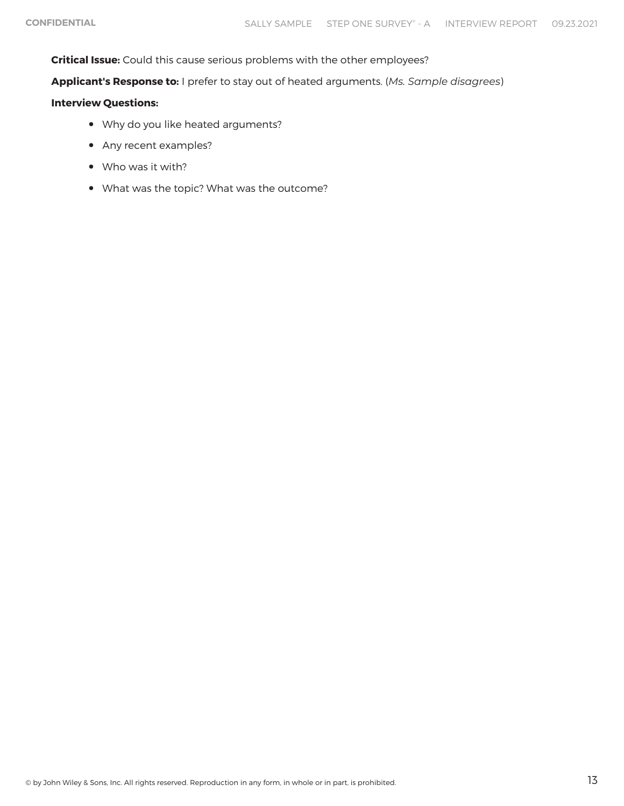**Critical Issue:** Could this cause serious problems with the other employees?

**Applicant's Response to:** I prefer to stay out of heated arguments. (*Ms. Sample disagrees*)

#### **Interview Questions:**

- Why do you like heated arguments?
- Any recent examples?
- Who was it with?
- What was the topic? What was the outcome?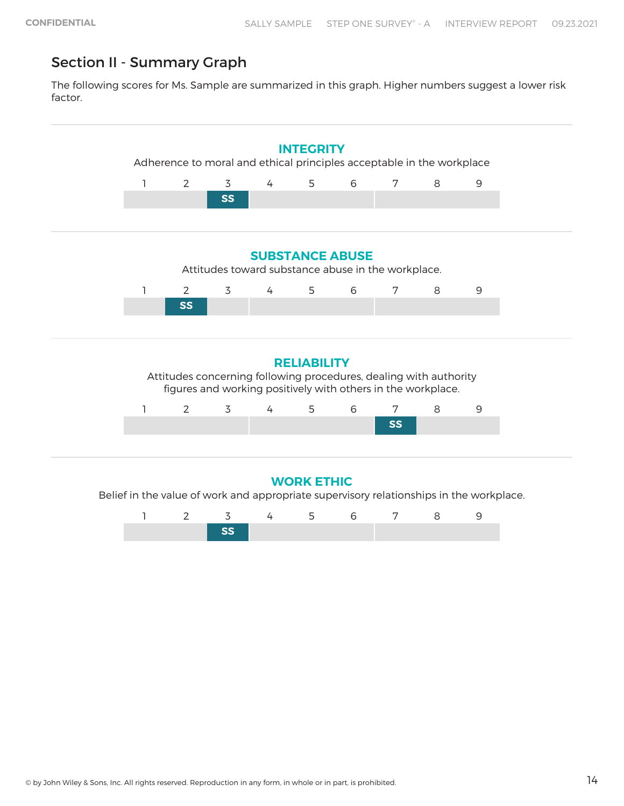### Section II - Summary Graph

The following scores for Ms. Sample are summarized in this graph. Higher numbers suggest a lower risk factor.